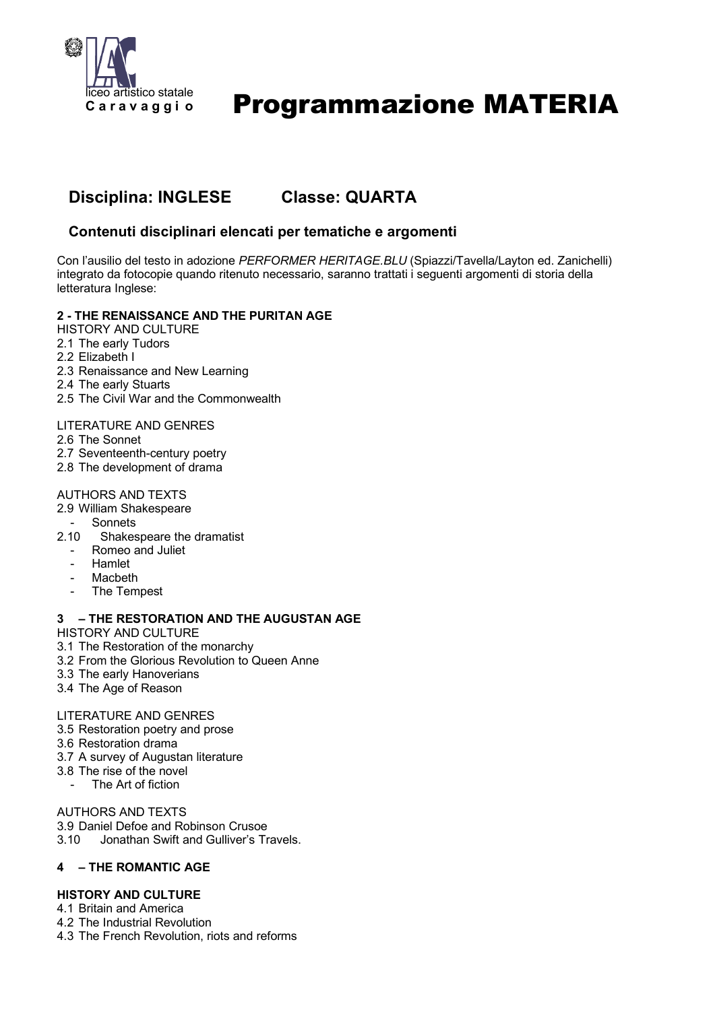

# Programmazione MATERIA

# **Disciplina: INGLESE Classe: QUARTA**

## **Contenuti disciplinari elencati per tematiche e argomenti**

Con l'ausilio del testo in adozione *PERFORMER HERITAGE.BLU* (Spiazzi/Tavella/Layton ed. Zanichelli) integrato da fotocopie quando ritenuto necessario, saranno trattati i seguenti argomenti di storia della letteratura Inglese:

#### **2 - THE RENAISSANCE AND THE PURITAN AGE**

- HISTORY AND CULTURE
- 2.1 The early Tudors
- 2.2 Elizabeth I
- 2.3 Renaissance and New Learning
- 2.4 The early Stuarts
- 2.5 The Civil War and the Commonwealth

#### LITERATURE AND GENRES

- 2.6 The Sonnet
- 2.7 Seventeenth-century poetry
- 2.8 The development of drama

#### AUTHORS AND TEXTS

- 2.9 William Shakespeare
- **Sonnets**
- 2.10 Shakespeare the dramatist
	- Romeo and Juliet
	- Hamlet
	- **Macbeth**
	- The Tempest

#### **3 – THE RESTORATION AND THE AUGUSTAN AGE**

HISTORY AND CULTURE

- 3.1 The Restoration of the monarchy
- 3.2 From the Glorious Revolution to Queen Anne
- 3.3 The early Hanoverians
- 3.4 The Age of Reason

#### LITERATURE AND GENRES

- 3.5 Restoration poetry and prose
- 3.6 Restoration drama
- 3.7 A survey of Augustan literature
- 3.8 The rise of the novel
	- The Art of fiction

AUTHORS AND TEXTS

- 3.9 Daniel Defoe and Robinson Crusoe
- 3.10 Jonathan Swift and Gulliver's Travels.

### **4 – THE ROMANTIC AGE**

#### **HISTORY AND CULTURE**

- 4.1 Britain and America
- 4.2 The Industrial Revolution
- 4.3 The French Revolution, riots and reforms